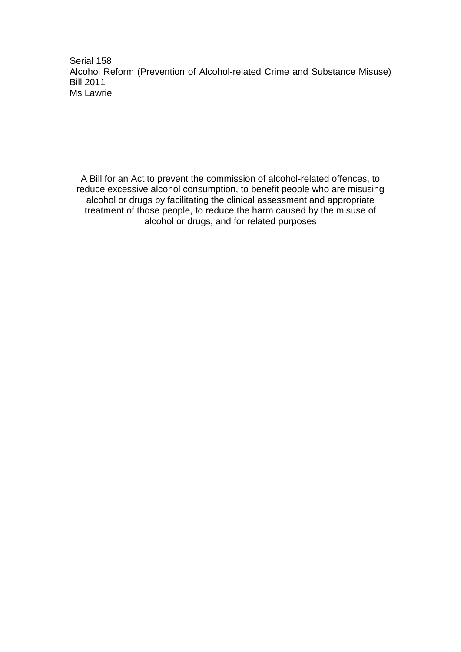Serial 158 Alcohol Reform (Prevention of Alcohol-related Crime and Substance Misuse) Bill 2011 Ms Lawrie

A Bill for an Act to prevent the commission of alcohol-related offences, to reduce excessive alcohol consumption, to benefit people who are misusing alcohol or drugs by facilitating the clinical assessment and appropriate treatment of those people, to reduce the harm caused by the misuse of alcohol or drugs, and for related purposes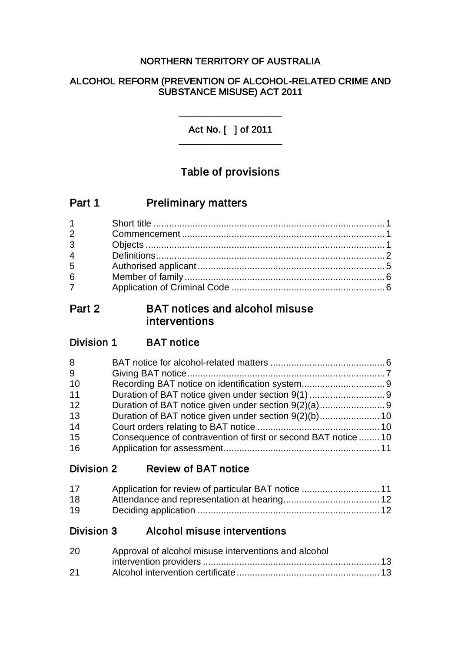# NORTHERN TERRITORY OF AUSTRALIA

# ALCOHOL REFORM (PREVENTION OF ALCOHOL-RELATED CRIME AND SUBSTANCE MISUSE) ACT 2011

Act No. [ ] of 2011 \_\_\_\_\_\_\_\_\_\_\_\_\_\_\_\_\_\_\_\_

\_\_\_\_\_\_\_\_\_\_\_\_\_\_\_\_\_\_\_\_

# Table of provisions

| Part 1 | <b>Preliminary matters</b> |
|--------|----------------------------|
|--------|----------------------------|

# Part 2 BAT notices and alcohol misuse interventions

# Division 1 BAT notice

| 8  |                                                                |  |
|----|----------------------------------------------------------------|--|
| 9  |                                                                |  |
| 10 |                                                                |  |
| 11 |                                                                |  |
| 12 |                                                                |  |
| 13 |                                                                |  |
| 14 |                                                                |  |
| 15 | Consequence of contravention of first or second BAT notice  10 |  |
| 16 |                                                                |  |

Division 2 Review of BAT notice

| 17 |  |
|----|--|
| 18 |  |
| 19 |  |

Division 3 Alcohol misuse interventions

| 20 | Approval of alcohol misuse interventions and alcohol |  |
|----|------------------------------------------------------|--|
|    |                                                      |  |
| 21 |                                                      |  |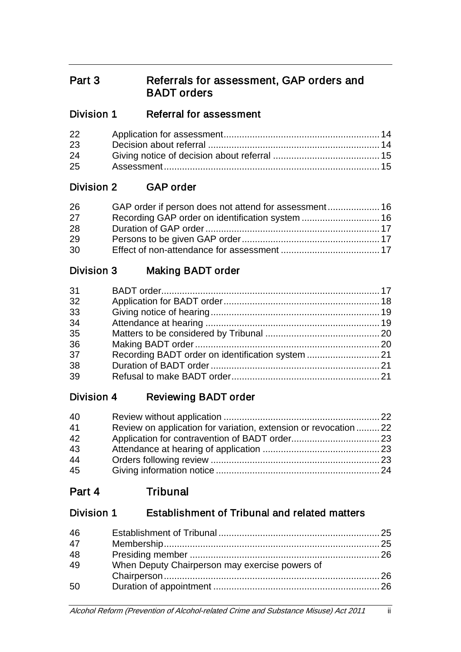# Part 3 Referrals for assessment, GAP orders and BADT orders

# Division 1 Referral for assessment

| 22 |  |
|----|--|
| 23 |  |
| 24 |  |
| 25 |  |

# Division 2 GAP order

| 26 |  |
|----|--|
| 27 |  |
| 28 |  |
| 29 |  |
| 30 |  |

# Division 3 Making BADT order

| 31 |  |
|----|--|
| 32 |  |
| 33 |  |
| 34 |  |
| 35 |  |
| 36 |  |
| 37 |  |
| 38 |  |
| 39 |  |

# Division 4 Reviewing BADT order

| 40 |                                                                  |  |
|----|------------------------------------------------------------------|--|
| 41 | Review on application for variation, extension or revocation  22 |  |
| 42 |                                                                  |  |
| 43 |                                                                  |  |
| 44 |                                                                  |  |
| 45 |                                                                  |  |

# Part 4 Tribunal

# Division 1 Establishment of Tribunal and related matters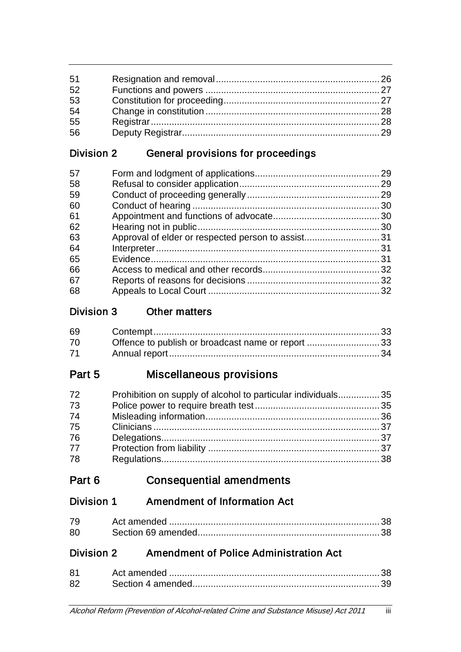| 51 |  |
|----|--|
| 52 |  |
| 53 |  |
| 54 |  |
| 55 |  |
| 56 |  |

# Division 2 General provisions for proceedings

| 57 |  |
|----|--|
| 58 |  |
| 59 |  |
| 60 |  |
| 61 |  |
| 62 |  |
| 63 |  |
| 64 |  |
| 65 |  |
| 66 |  |
| 67 |  |
| 68 |  |
|    |  |

# Division 3 Other matters

| 69 |                                                   |  |
|----|---------------------------------------------------|--|
| 70 | Offence to publish or broadcast name or report 33 |  |
| 71 |                                                   |  |

# Part 5 Miscellaneous provisions

| 72 | Prohibition on supply of alcohol to particular individuals35 |  |
|----|--------------------------------------------------------------|--|
| 73 |                                                              |  |
| 74 |                                                              |  |
| 75 |                                                              |  |
| 76 |                                                              |  |
| 77 |                                                              |  |
| 78 |                                                              |  |

# Part 6 Consequential amendments

# Division 1 Amendment of Information Act

| 79 |  |
|----|--|
| 80 |  |

# Division 2 Amendment of Police Administration Act

| 81 |  |
|----|--|
| 82 |  |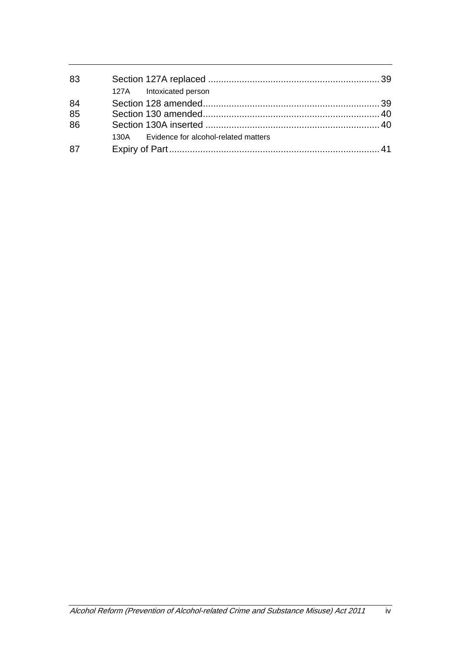| 83 |                                           |  |
|----|-------------------------------------------|--|
|    | 127A Intoxicated person                   |  |
| 84 |                                           |  |
| 85 |                                           |  |
| 86 |                                           |  |
|    | 130A Evidence for alcohol-related matters |  |
| 87 |                                           |  |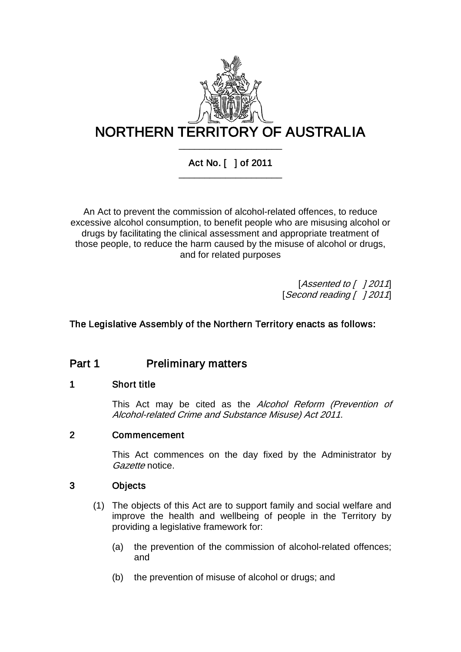

# Act No. [ ] of 2011 \_\_\_\_\_\_\_\_\_\_\_\_\_\_\_\_\_\_\_\_

An Act to prevent the commission of alcohol-related offences, to reduce excessive alcohol consumption, to benefit people who are misusing alcohol or drugs by facilitating the clinical assessment and appropriate treatment of those people, to reduce the harm caused by the misuse of alcohol or drugs, and for related purposes

> [Assented to  $[$  ] 2011] [Second reading [ ] 2011]

# The Legislative Assembly of the Northern Territory enacts as follows:

# Part 1 **Preliminary matters**

## 1 Short title

This Act may be cited as the Alcohol Reform (Prevention of Alcohol-related Crime and Substance Misuse) Act 2011.

## 2 Commencement

This Act commences on the day fixed by the Administrator by Gazette notice.

## 3 Objects

- (1) The objects of this Act are to support family and social welfare and improve the health and wellbeing of people in the Territory by providing a legislative framework for:
	- (a) the prevention of the commission of alcohol-related offences; and
	- (b) the prevention of misuse of alcohol or drugs; and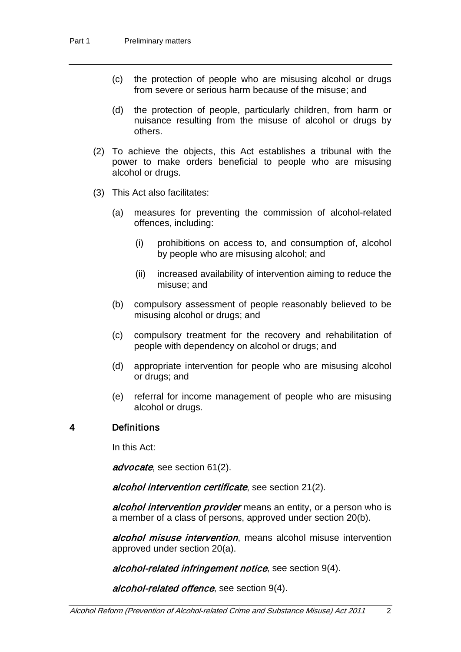- (c) the protection of people who are misusing alcohol or drugs from severe or serious harm because of the misuse; and
- (d) the protection of people, particularly children, from harm or nuisance resulting from the misuse of alcohol or drugs by others.
- (2) To achieve the objects, this Act establishes a tribunal with the power to make orders beneficial to people who are misusing alcohol or drugs.
- (3) This Act also facilitates:
	- (a) measures for preventing the commission of alcohol-related offences, including:
		- (i) prohibitions on access to, and consumption of, alcohol by people who are misusing alcohol; and
		- (ii) increased availability of intervention aiming to reduce the misuse; and
	- (b) compulsory assessment of people reasonably believed to be misusing alcohol or drugs; and
	- (c) compulsory treatment for the recovery and rehabilitation of people with dependency on alcohol or drugs; and
	- (d) appropriate intervention for people who are misusing alcohol or drugs; and
	- (e) referral for income management of people who are misusing alcohol or drugs.

## 4 Definitions

In this Act:

advocate, see section [61\(](#page-34-0)2).

alcohol intervention certificate, see section [21\(](#page-17-0)2).

alcohol intervention provider means an entity, or a person who is a member of a class of persons, approved under section [20\(](#page-17-1)b).

alcohol misuse intervention, means alcohol misuse intervention approved under section [20\(](#page-17-1)a).

alcohol-related infringement notice, see section [9\(](#page-11-0)4).

alcohol-related offence, see section [9\(](#page-11-0)4).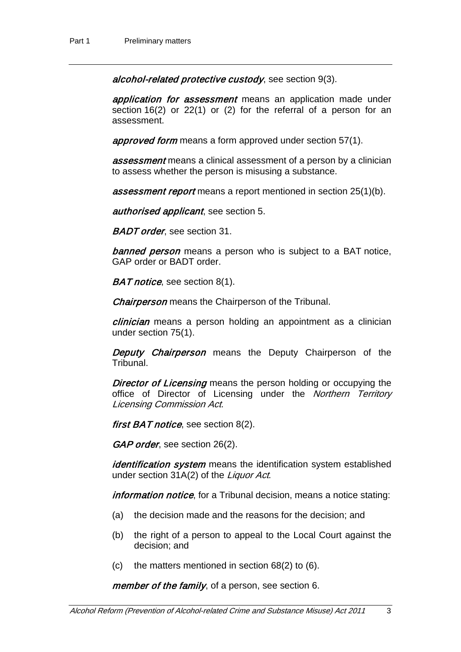alcohol-related protective custody, see section [9\(](#page-11-0)3).

application for assessment means an application made under section [16\(](#page-15-0)2) or [22\(](#page-18-0)1) or (2) for the referral of a person for an assessment.

approved form means a form approved under section [57\(](#page-33-0)1).

**assessment** means a clinical assessment of a person by a clinician to assess whether the person is misusing a substance.

**assessment report** means a report mentioned in section [25\(](#page-19-0)1)(b).

authorised applicant, see section [5.](#page-9-0)

**BADT order**, see section [31.](#page-21-0)

**banned person** means a person who is subject to a BAT notice, GAP order or BADT order.

**BAT notice**, see section [8\(](#page-10-0)1).

Chairperson means the Chairperson of the Tribunal.

clinician means a person holding an appointment as a clinician under section [75\(](#page-41-0)1).

**Deputy Chairperson** means the Deputy Chairperson of the Tribunal.

**Director of Licensing** means the person holding or occupying the office of Director of Licensing under the *Northern Territory* Licensing Commission Act.

first BAT notice, see section [8\(](#page-10-0)2).

GAP order, see section [26\(](#page-20-0)2).

identification system means the identification system established under section 31A(2) of the Liquor Act.

information notice, for a Tribunal decision, means a notice stating:

- (a) the decision made and the reasons for the decision; and
- (b) the right of a person to appeal to the Local Court against the decision; and
- (c) the matters mentioned in section  $68(2)$  $68(2)$  to  $(6)$ .

member of the family, of a person, see section [6.](#page-10-1)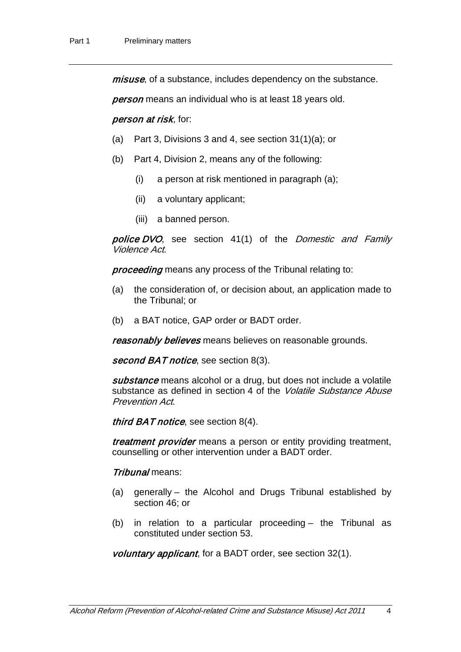*misuse*, of a substance, includes dependency on the substance.

**person** means an individual who is at least 18 years old.

#### person at risk, for:

- (a) Part 3, Divisions 3 and 4, see section [31\(](#page-21-0)1)(a); or
- (b) Part 4, Division 2, means any of the following:
	- (i) a person at risk mentioned in paragraph (a);
	- (ii) a voluntary applicant;
	- (iii) a banned person.

police DVO, see section 41(1) of the Domestic and Family Violence Act.

proceeding means any process of the Tribunal relating to:

- (a) the consideration of, or decision about, an application made to the Tribunal; or
- (b) a BAT notice, GAP order or BADT order.

reasonably believes means believes on reasonable grounds.

second BAT notice, see section [8\(](#page-10-0)3).

substance means alcohol or a drug, but does not include a volatile substance as defined in section 4 of the *Volatile Substance Abuse* Prevention Act.

*third BAT notice*, see section  $8(4)$ .

treatment provider means a person or entity providing treatment, counselling or other intervention under a BADT order.

#### Tribunal means:

- (a) generally the Alcohol and Drugs Tribunal established by section [46;](#page-29-0) or
- (b) in relation to a particular proceeding the Tribunal as constituted under section [53.](#page-31-0)

voluntary applicant, for a BADT order, see section [32\(](#page-22-0)1).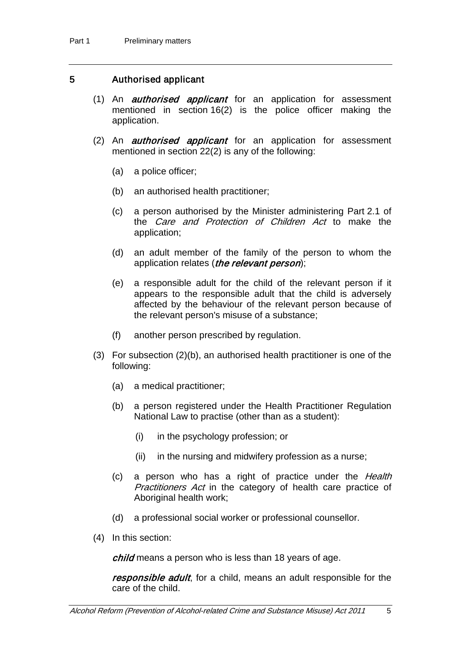### <span id="page-9-0"></span>5 Authorised applicant

- (1) An *authorised applicant* for an application for assessment mentioned in section [16\(](#page-15-0)2) is the police officer making the application.
- (2) An *authorised applicant* for an application for assessment mentioned in section [22\(](#page-18-0)2) is any of the following:
	- (a) a police officer;
	- (b) an authorised health practitioner;
	- (c) a person authorised by the Minister administering Part 2.1 of the Care and Protection of Children Act to make the application;
	- (d) an adult member of the family of the person to whom the application relates (the relevant person);
	- (e) a responsible adult for the child of the relevant person if it appears to the responsible adult that the child is adversely affected by the behaviour of the relevant person because of the relevant person's misuse of a substance;
	- (f) another person prescribed by regulation.
- (3) For subsection (2)(b), an authorised health practitioner is one of the following:
	- (a) a medical practitioner;
	- (b) a person registered under the Health Practitioner Regulation National Law to practise (other than as a student):
		- (i) in the psychology profession; or
		- (ii) in the nursing and midwifery profession as a nurse;
	- (c) a person who has a right of practice under the Health Practitioners Act in the category of health care practice of Aboriginal health work;
	- (d) a professional social worker or professional counsellor.
- (4) In this section:

child means a person who is less than 18 years of age.

responsible adult, for a child, means an adult responsible for the care of the child.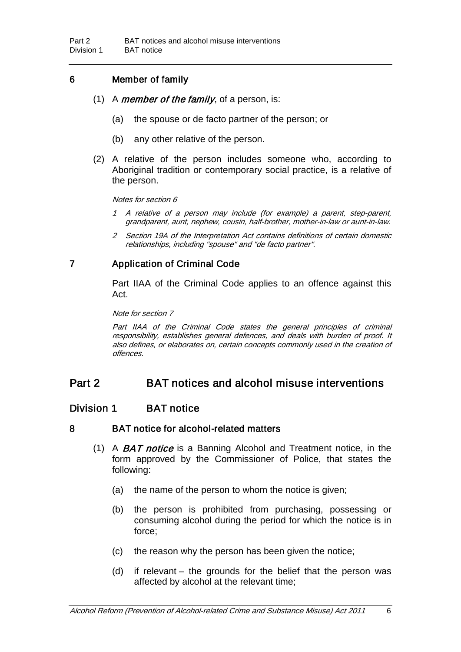## <span id="page-10-1"></span>6 Member of family

- (1) A *member of the family*, of a person, is:
	- (a) the spouse or de facto partner of the person; or
	- (b) any other relative of the person.
- (2) A relative of the person includes someone who, according to Aboriginal tradition or contemporary social practice, is a relative of the person.

#### Notes for section [6](#page-10-1)

- 1 A relative of a person may include (for example) a parent, step-parent, grandparent, aunt, nephew, cousin, half-brother, mother-in-law or aunt-in-law.
- 2 Section 19A of the Interpretation Act contains definitions of certain domestic relationships, including "spouse" and "de facto partner".

# <span id="page-10-2"></span>7 Application of Criminal Code

Part IIAA of the Criminal Code applies to an offence against this Act.

Note for sectio[n 7](#page-10-2)

Part IIAA of the Criminal Code states the general principles of criminal responsibility, establishes general defences, and deals with burden of proof. It also defines, or elaborates on, certain concepts commonly used in the creation of offences.

# Part 2 BAT notices and alcohol misuse interventions

## Division 1 BAT notice

### 8 BAT notice for alcohol-related matters

- <span id="page-10-0"></span>(1) A BAT notice is a Banning Alcohol and Treatment notice, in the form approved by the Commissioner of Police, that states the following:
	- (a) the name of the person to whom the notice is given;
	- (b) the person is prohibited from purchasing, possessing or consuming alcohol during the period for which the notice is in force;
	- (c) the reason why the person has been given the notice;
	- (d) if relevant the grounds for the belief that the person was affected by alcohol at the relevant time;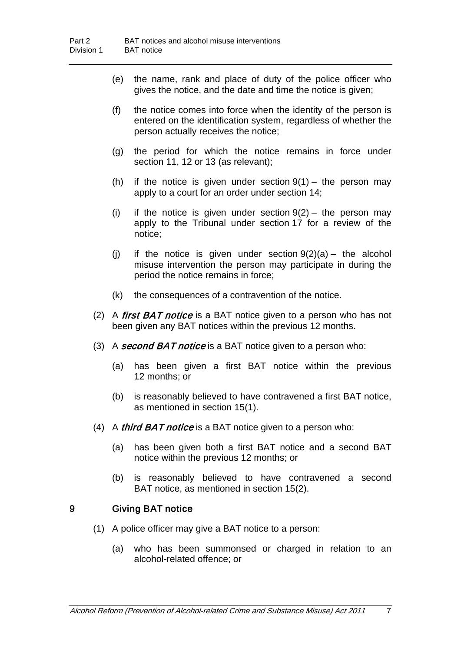- (e) the name, rank and place of duty of the police officer who gives the notice, and the date and time the notice is given;
- (f) the notice comes into force when the identity of the person is entered on the identification system, regardless of whether the person actually receives the notice;
- (g) the period for which the notice remains in force under section [11,](#page-13-0) [12](#page-13-1) or [13](#page-14-0) (as relevant);
- (h) if the notice is given under section  $9(1)$  $9(1)$  the person may apply to a court for an order under section [14;](#page-14-1)
- (i) if the notice is given under section  $9(2)$  $9(2)$  the person may apply to the Tribunal under section [17](#page-15-1) for a review of the notice;
- (i) if the notice is given under section  $9(2)(a)$  $9(2)(a)$  the alcohol misuse intervention the person may participate in during the period the notice remains in force;
- (k) the consequences of a contravention of the notice.
- (2) A first  $BAT$  notice is a BAT notice given to a person who has not been given any BAT notices within the previous 12 months.
- (3) A second BAT notice is a BAT notice given to a person who:
	- (a) has been given a first BAT notice within the previous 12 months; or
	- (b) is reasonably believed to have contravened a first BAT notice, as mentioned in section [15\(](#page-14-2)1).
- (4) A *third BAT notice* is a BAT notice given to a person who:
	- (a) has been given both a first BAT notice and a second BAT notice within the previous 12 months; or
	- (b) is reasonably believed to have contravened a second BAT notice, as mentioned in section [15\(](#page-14-2)2).

## <span id="page-11-0"></span>9 Giving BAT notice

- (1) A police officer may give a BAT notice to a person:
	- (a) who has been summonsed or charged in relation to an alcohol-related offence; or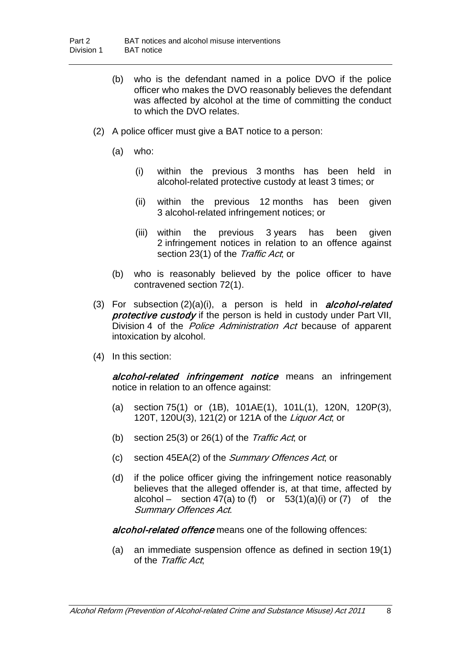- (b) who is the defendant named in a police DVO if the police officer who makes the DVO reasonably believes the defendant was affected by alcohol at the time of committing the conduct to which the DVO relates.
- (2) A police officer must give a BAT notice to a person:
	- (a) who:
		- (i) within the previous 3 months has been held in alcohol-related protective custody at least 3 times; or
		- (ii) within the previous 12 months has been given 3 alcohol-related infringement notices; or
		- (iii) within the previous 3 years has been given 2 infringement notices in relation to an offence against section 23(1) of the Traffic Act, or
	- (b) who is reasonably believed by the police officer to have contravened section [72\(](#page-39-0)1).
- (3) For subsection  $(2)(a)(i)$ , a person is held in *alcohol-related* protective custody if the person is held in custody under Part VII, Division 4 of the *Police Administration Act* because of apparent intoxication by alcohol.
- (4) In this section:

alcohol-related infringement notice means an infringement notice in relation to an offence against:

- (a) section 75(1) or (1B), 101AE(1), 101L(1), 120N, 120P(3), 120T, 120U(3), 121(2) or 121A of the Liquor Act; or
- (b) section 25(3) or 26(1) of the Traffic Act, or
- (c) section 45EA(2) of the Summary Offences Act; or
- (d) if the police officer giving the infringement notice reasonably believes that the alleged offender is, at that time, affected by alcohol – section  $47(a)$  to (f) or  $53(1)(a)(i)$  or  $(7)$  of the Summary Offences Act.

alcohol-related offence means one of the following offences:

(a) an immediate suspension offence as defined in section 19(1) of the Traffic Act.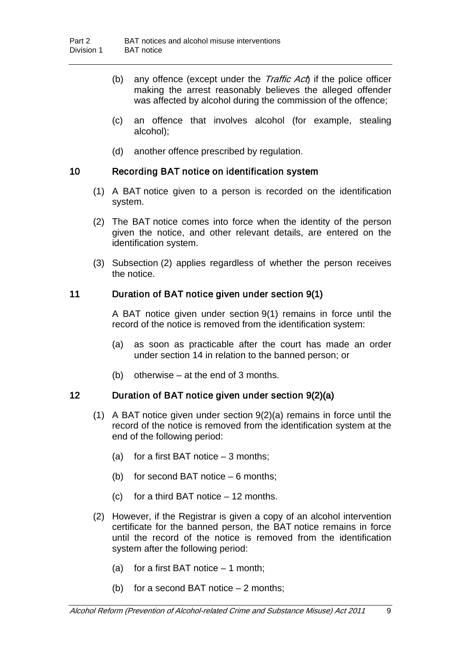- (b) any offence (except under the *Traffic Act*) if the police officer making the arrest reasonably believes the alleged offender was affected by alcohol during the commission of the offence;
- (c) an offence that involves alcohol (for example, stealing alcohol);
- (d) another offence prescribed by regulation.

## <span id="page-13-2"></span>10 Recording BAT notice on identification system

- (1) A BAT notice given to a person is recorded on the identification system.
- (2) The BAT notice comes into force when the identity of the person given the notice, and other relevant details, are entered on the identification system.
- (3) Subsection (2) applies regardless of whether the person receives the notice.

### <span id="page-13-0"></span>11 Duration of BAT notice given under section [9\(](#page-11-0)1)

A BAT notice given under section [9\(](#page-11-0)1) remains in force until the record of the notice is removed from the identification system:

- (a) as soon as practicable after the court has made an order under section [14](#page-14-1) in relation to the banned person; or
- (b) otherwise at the end of 3 months.

## <span id="page-13-1"></span>12 Duration of BAT notice given under section [9\(](#page-11-0)2)(a)

- (1) A BAT notice given under section 9(2)(a) remains in force until the record of the notice is removed from the identification system at the end of the following period:
	- (a) for a first BAT notice  $-3$  months;
	- (b) for second BAT notice 6 months;
	- (c) for a third BAT notice  $-12$  months.
- (2) However, if the Registrar is given a copy of an alcohol intervention certificate for the banned person, the BAT notice remains in force until the record of the notice is removed from the identification system after the following period:
	- (a) for a first BAT notice  $-1$  month;
	- (b) for a second BAT notice  $-2$  months;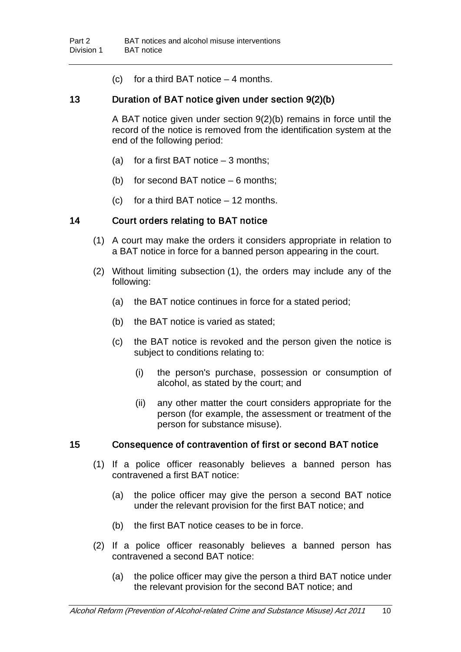(c) for a third BAT notice  $-4$  months.

### <span id="page-14-0"></span>13 Duration of BAT notice given under section [9\(](#page-11-0)2)(b)

A BAT notice given under section [9\(](#page-11-0)2)(b) remains in force until the record of the notice is removed from the identification system at the end of the following period:

- (a) for a first BAT notice  $-3$  months;
- (b) for second BAT notice 6 months;
- (c) for a third BAT notice 12 months.

## <span id="page-14-1"></span>14 Court orders relating to BAT notice

- (1) A court may make the orders it considers appropriate in relation to a BAT notice in force for a banned person appearing in the court.
- (2) Without limiting subsection (1), the orders may include any of the following:
	- (a) the BAT notice continues in force for a stated period;
	- (b) the BAT notice is varied as stated;
	- (c) the BAT notice is revoked and the person given the notice is subject to conditions relating to:
		- (i) the person's purchase, possession or consumption of alcohol, as stated by the court; and
		- (ii) any other matter the court considers appropriate for the person (for example, the assessment or treatment of the person for substance misuse).

### <span id="page-14-2"></span>15 Consequence of contravention of first or second BAT notice

- (1) If a police officer reasonably believes a banned person has contravened a first BAT notice:
	- (a) the police officer may give the person a second BAT notice under the relevant provision for the first BAT notice; and
	- (b) the first BAT notice ceases to be in force.
- (2) If a police officer reasonably believes a banned person has contravened a second BAT notice:
	- (a) the police officer may give the person a third BAT notice under the relevant provision for the second BAT notice; and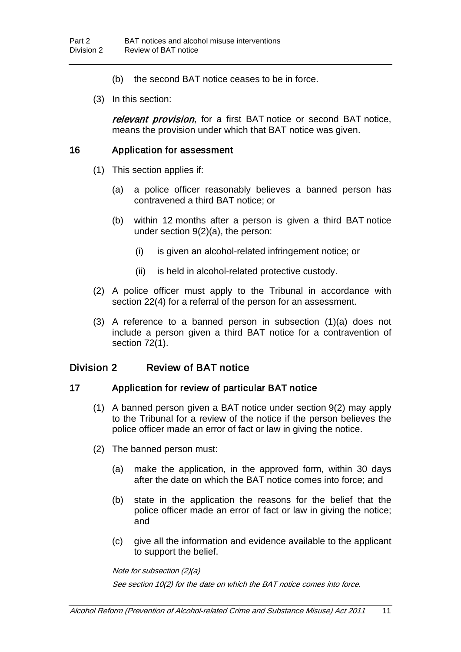- (b) the second BAT notice ceases to be in force.
- (3) In this section:

relevant provision, for a first BAT notice or second BAT notice, means the provision under which that BAT notice was given.

### <span id="page-15-0"></span>16 Application for assessment

- (1) This section applies if:
	- (a) a police officer reasonably believes a banned person has contravened a third BAT notice; or
	- (b) within 12 months after a person is given a third BAT notice under section [9\(](#page-11-0)2)(a), the person:
		- (i) is given an alcohol-related infringement notice; or
		- (ii) is held in alcohol-related protective custody.
- (2) A police officer must apply to the Tribunal in accordance with section [22\(](#page-18-0)4) for a referral of the person for an assessment.
- (3) A reference to a banned person in subsection (1)(a) does not include a person given a third BAT notice for a contravention of section [72\(](#page-39-0)1).

# Division 2 Review of BAT notice

## 17 Application for review of particular BAT notice

- <span id="page-15-1"></span>(1) A banned person given a BAT notice under section [9\(](#page-11-0)2) may apply to the Tribunal for a review of the notice if the person believes the police officer made an error of fact or law in giving the notice.
- (2) The banned person must:
	- (a) make the application, in the approved form, within 30 days after the date on which the BAT notice comes into force; and
	- (b) state in the application the reasons for the belief that the police officer made an error of fact or law in giving the notice; and
	- (c) give all the information and evidence available to the applicant to support the belief.

Note for subsection (2)(a)

See section [10\(](#page-13-2)2) for the date on which the BAT notice comes into force.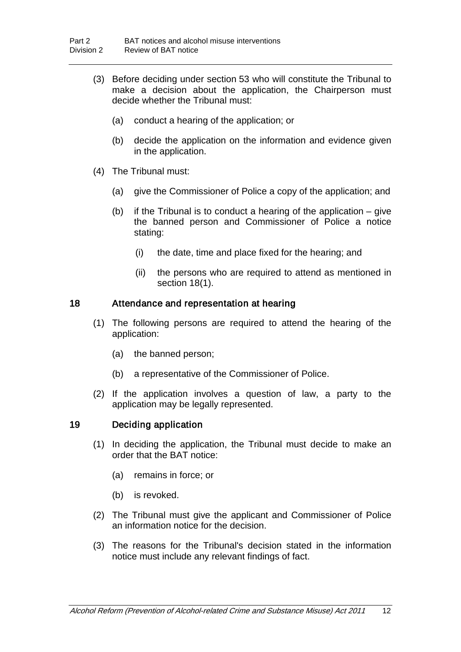- (3) Before deciding under section [53](#page-31-0) who will constitute the Tribunal to make a decision about the application, the Chairperson must decide whether the Tribunal must:
	- (a) conduct a hearing of the application; or
	- (b) decide the application on the information and evidence given in the application.
- (4) The Tribunal must:
	- (a) give the Commissioner of Police a copy of the application; and
	- (b) if the Tribunal is to conduct a hearing of the application give the banned person and Commissioner of Police a notice stating:
		- (i) the date, time and place fixed for the hearing; and
		- (ii) the persons who are required to attend as mentioned in section [18\(](#page-16-0)1).

#### <span id="page-16-0"></span>18 Attendance and representation at hearing

- (1) The following persons are required to attend the hearing of the application:
	- (a) the banned person;
	- (b) a representative of the Commissioner of Police.
- (2) If the application involves a question of law, a party to the application may be legally represented.

### 19 Deciding application

- (1) In deciding the application, the Tribunal must decide to make an order that the BAT notice:
	- (a) remains in force; or
	- (b) is revoked.
- (2) The Tribunal must give the applicant and Commissioner of Police an information notice for the decision.
- (3) The reasons for the Tribunal's decision stated in the information notice must include any relevant findings of fact.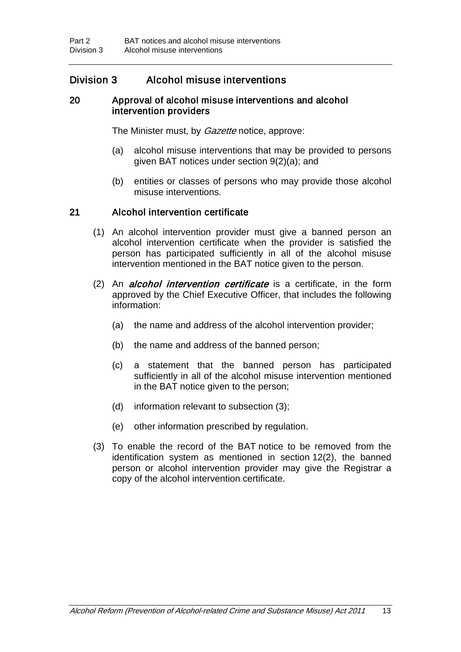# Division 3 Alcohol misuse interventions

### 20 Approval of alcohol misuse interventions and alcohol intervention providers

<span id="page-17-1"></span>The Minister must, by *Gazette* notice, approve:

- (a) alcohol misuse interventions that may be provided to persons given BAT notices under section [9\(](#page-11-0)2)(a); and
- (b) entities or classes of persons who may provide those alcohol misuse interventions.

### <span id="page-17-0"></span>21 Alcohol intervention certificate

- (1) An alcohol intervention provider must give a banned person an alcohol intervention certificate when the provider is satisfied the person has participated sufficiently in all of the alcohol misuse intervention mentioned in the BAT notice given to the person.
- $(2)$  An *alcohol intervention certificate* is a certificate, in the form approved by the Chief Executive Officer, that includes the following information:
	- (a) the name and address of the alcohol intervention provider;
	- (b) the name and address of the banned person;
	- (c) a statement that the banned person has participated sufficiently in all of the alcohol misuse intervention mentioned in the BAT notice given to the person;
	- (d) information relevant to subsection (3);
	- (e) other information prescribed by regulation.
- (3) To enable the record of the BAT notice to be removed from the identification system as mentioned in section [12\(](#page-13-1)2), the banned person or alcohol intervention provider may give the Registrar a copy of the alcohol intervention certificate.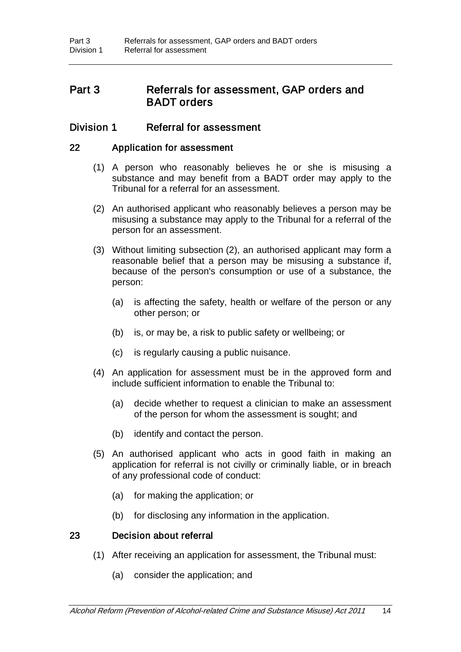# Part 3 Referrals for assessment, GAP orders and BADT orders

## Division 1 Referral for assessment

### 22 Application for assessment

- <span id="page-18-0"></span>(1) A person who reasonably believes he or she is misusing a substance and may benefit from a BADT order may apply to the Tribunal for a referral for an assessment.
- (2) An authorised applicant who reasonably believes a person may be misusing a substance may apply to the Tribunal for a referral of the person for an assessment.
- (3) Without limiting subsection (2), an authorised applicant may form a reasonable belief that a person may be misusing a substance if, because of the person's consumption or use of a substance, the person:
	- (a) is affecting the safety, health or welfare of the person or any other person; or
	- (b) is, or may be, a risk to public safety or wellbeing; or
	- (c) is regularly causing a public nuisance.
- (4) An application for assessment must be in the approved form and include sufficient information to enable the Tribunal to:
	- (a) decide whether to request a clinician to make an assessment of the person for whom the assessment is sought; and
	- (b) identify and contact the person.
- (5) An authorised applicant who acts in good faith in making an application for referral is not civilly or criminally liable, or in breach of any professional code of conduct:
	- (a) for making the application; or
	- (b) for disclosing any information in the application.

#### 23 Decision about referral

- (1) After receiving an application for assessment, the Tribunal must:
	- (a) consider the application; and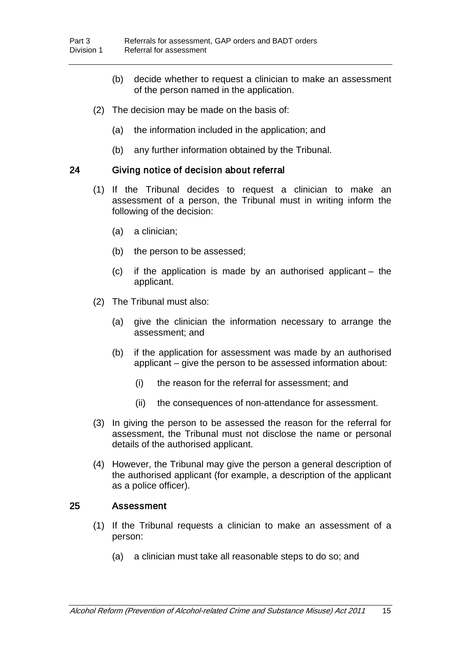- (b) decide whether to request a clinician to make an assessment of the person named in the application.
- (2) The decision may be made on the basis of:
	- (a) the information included in the application; and
	- (b) any further information obtained by the Tribunal.

### 24 Giving notice of decision about referral

- (1) If the Tribunal decides to request a clinician to make an assessment of a person, the Tribunal must in writing inform the following of the decision:
	- (a) a clinician;
	- (b) the person to be assessed;
	- (c) if the application is made by an authorised applicant the applicant.
- (2) The Tribunal must also:
	- (a) give the clinician the information necessary to arrange the assessment; and
	- (b) if the application for assessment was made by an authorised applicant – give the person to be assessed information about:
		- (i) the reason for the referral for assessment; and
		- (ii) the consequences of non-attendance for assessment.
- (3) In giving the person to be assessed the reason for the referral for assessment, the Tribunal must not disclose the name or personal details of the authorised applicant.
- (4) However, the Tribunal may give the person a general description of the authorised applicant (for example, a description of the applicant as a police officer).

### <span id="page-19-0"></span>25 Assessment

- (1) If the Tribunal requests a clinician to make an assessment of a person:
	- (a) a clinician must take all reasonable steps to do so; and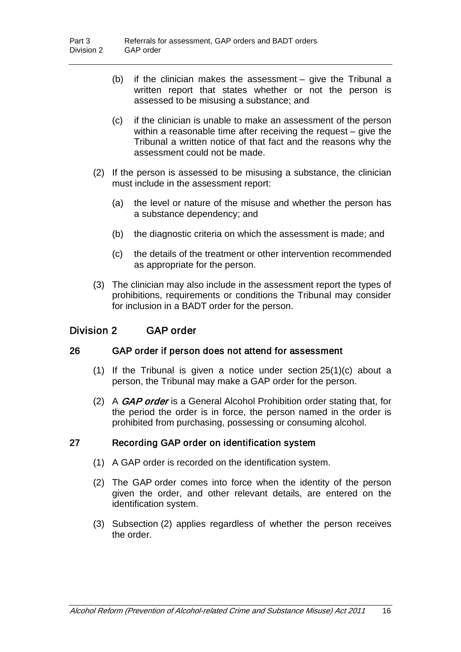- (b) if the clinician makes the assessment give the Tribunal a written report that states whether or not the person is assessed to be misusing a substance; and
- (c) if the clinician is unable to make an assessment of the person within a reasonable time after receiving the request – give the Tribunal a written notice of that fact and the reasons why the assessment could not be made.
- (2) If the person is assessed to be misusing a substance, the clinician must include in the assessment report:
	- (a) the level or nature of the misuse and whether the person has a substance dependency; and
	- (b) the diagnostic criteria on which the assessment is made; and
	- (c) the details of the treatment or other intervention recommended as appropriate for the person.
- (3) The clinician may also include in the assessment report the types of prohibitions, requirements or conditions the Tribunal may consider for inclusion in a BADT order for the person.

## Division 2 GAP order

### 26 GAP order if person does not attend for assessment

- <span id="page-20-0"></span>(1) If the Tribunal is given a notice under section [25\(](#page-19-0)1)(c) about a person, the Tribunal may make a GAP order for the person.
- (2) A GAP order is a General Alcohol Prohibition order stating that, for the period the order is in force, the person named in the order is prohibited from purchasing, possessing or consuming alcohol.

### 27 Recording GAP order on identification system

- (1) A GAP order is recorded on the identification system.
- (2) The GAP order comes into force when the identity of the person given the order, and other relevant details, are entered on the identification system.
- (3) Subsection (2) applies regardless of whether the person receives the order.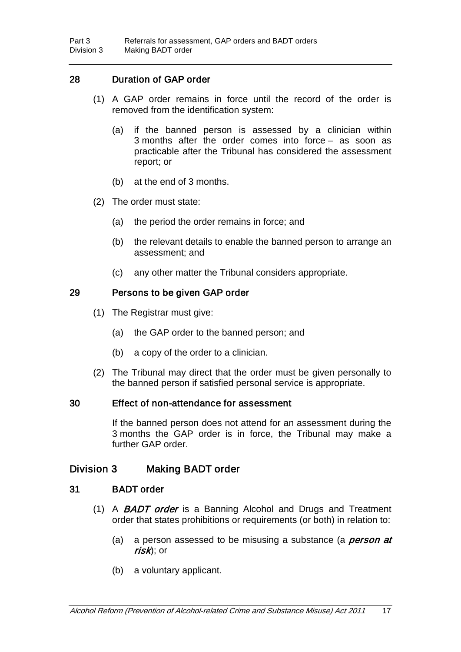### 28 Duration of GAP order

- (1) A GAP order remains in force until the record of the order is removed from the identification system:
	- (a) if the banned person is assessed by a clinician within 3 months after the order comes into force – as soon as practicable after the Tribunal has considered the assessment report; or
	- (b) at the end of 3 months.
- (2) The order must state:
	- (a) the period the order remains in force; and
	- (b) the relevant details to enable the banned person to arrange an assessment; and
	- (c) any other matter the Tribunal considers appropriate.

### 29 Persons to be given GAP order

- (1) The Registrar must give:
	- (a) the GAP order to the banned person; and
	- (b) a copy of the order to a clinician.
- (2) The Tribunal may direct that the order must be given personally to the banned person if satisfied personal service is appropriate.

#### 30 Effect of non-attendance for assessment

If the banned person does not attend for an assessment during the 3 months the GAP order is in force, the Tribunal may make a further GAP order.

## Division 3 Making BADT order

### 31 BADT order

- <span id="page-21-0"></span>(1) A **BADT order** is a Banning Alcohol and Drugs and Treatment order that states prohibitions or requirements (or both) in relation to:
	- (a) a person assessed to be misusing a substance (a *person at* risk); or
	- (b) a voluntary applicant.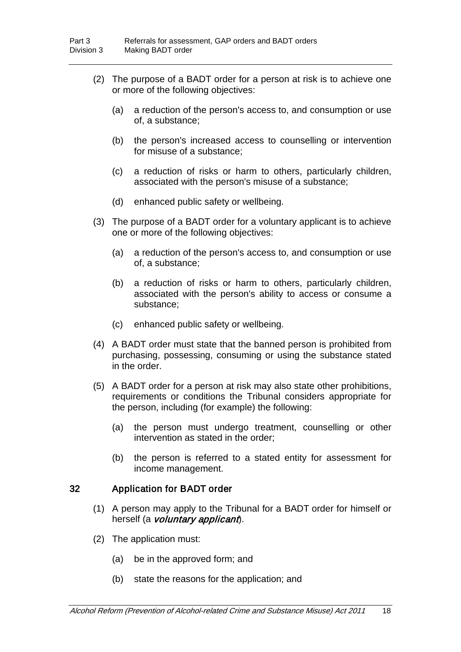- (2) The purpose of a BADT order for a person at risk is to achieve one or more of the following objectives:
	- (a) a reduction of the person's access to, and consumption or use of, a substance;
	- (b) the person's increased access to counselling or intervention for misuse of a substance;
	- (c) a reduction of risks or harm to others, particularly children, associated with the person's misuse of a substance;
	- (d) enhanced public safety or wellbeing.
- (3) The purpose of a BADT order for a voluntary applicant is to achieve one or more of the following objectives:
	- (a) a reduction of the person's access to, and consumption or use of, a substance;
	- (b) a reduction of risks or harm to others, particularly children, associated with the person's ability to access or consume a substance;
	- (c) enhanced public safety or wellbeing.
- (4) A BADT order must state that the banned person is prohibited from purchasing, possessing, consuming or using the substance stated in the order.
- (5) A BADT order for a person at risk may also state other prohibitions, requirements or conditions the Tribunal considers appropriate for the person, including (for example) the following:
	- (a) the person must undergo treatment, counselling or other intervention as stated in the order;
	- (b) the person is referred to a stated entity for assessment for income management.

## <span id="page-22-0"></span>32 Application for BADT order

- (1) A person may apply to the Tribunal for a BADT order for himself or herself (a *voluntary applicant*).
- (2) The application must:
	- (a) be in the approved form; and
	- (b) state the reasons for the application; and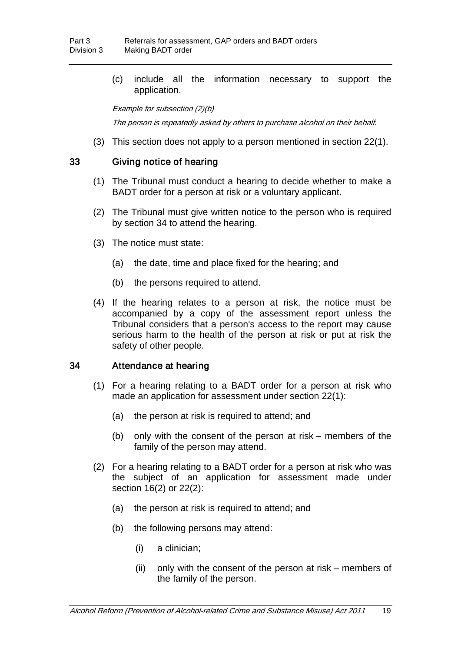(c) include all the information necessary to support the application.

Example for subsection (2)(b)

The person is repeatedly asked by others to purchase alcohol on their behalf.

(3) This section does not apply to a person mentioned in section [22\(](#page-18-0)1).

### 33 Giving notice of hearing

- (1) The Tribunal must conduct a hearing to decide whether to make a BADT order for a person at risk or a voluntary applicant.
- (2) The Tribunal must give written notice to the person who is required by section [34](#page-23-0) to attend the hearing.
- (3) The notice must state:
	- (a) the date, time and place fixed for the hearing; and
	- (b) the persons required to attend.
- (4) If the hearing relates to a person at risk, the notice must be accompanied by a copy of the assessment report unless the Tribunal considers that a person's access to the report may cause serious harm to the health of the person at risk or put at risk the safety of other people.

### <span id="page-23-0"></span>34 Attendance at hearing

- (1) For a hearing relating to a BADT order for a person at risk who made an application for assessment under section [22\(](#page-18-0)1):
	- (a) the person at risk is required to attend; and
	- (b) only with the consent of the person at risk members of the family of the person may attend.
- (2) For a hearing relating to a BADT order for a person at risk who was the subject of an application for assessment made under section [16\(](#page-15-0)2) or [22\(](#page-18-0)2):
	- (a) the person at risk is required to attend; and
	- (b) the following persons may attend:
		- (i) a clinician;
		- (ii) only with the consent of the person at risk members of the family of the person.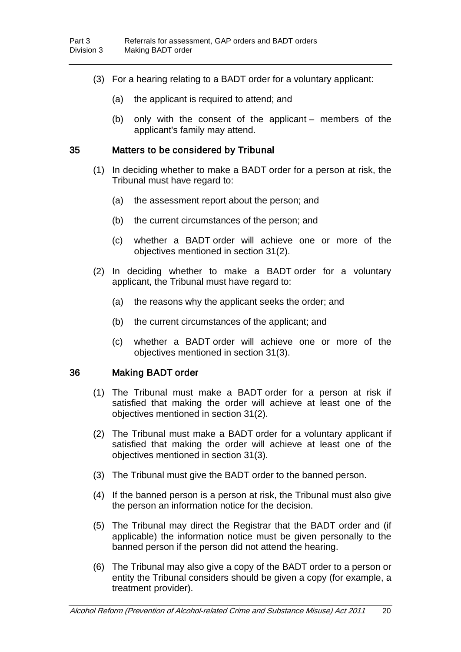- (3) For a hearing relating to a BADT order for a voluntary applicant:
	- (a) the applicant is required to attend; and
	- (b) only with the consent of the applicant members of the applicant's family may attend.

#### 35 Matters to be considered by Tribunal

- (1) In deciding whether to make a BADT order for a person at risk, the Tribunal must have regard to:
	- (a) the assessment report about the person; and
	- (b) the current circumstances of the person; and
	- (c) whether a BADT order will achieve one or more of the objectives mentioned in section [31\(](#page-21-0)2).
- (2) In deciding whether to make a BADT order for a voluntary applicant, the Tribunal must have regard to:
	- (a) the reasons why the applicant seeks the order; and
	- (b) the current circumstances of the applicant; and
	- (c) whether a BADT order will achieve one or more of the objectives mentioned in section [31\(](#page-21-0)3).

### 36 Making BADT order

- (1) The Tribunal must make a BADT order for a person at risk if satisfied that making the order will achieve at least one of the objectives mentioned in section [31\(](#page-21-0)2).
- (2) The Tribunal must make a BADT order for a voluntary applicant if satisfied that making the order will achieve at least one of the objectives mentioned in section [31\(](#page-21-0)3).
- (3) The Tribunal must give the BADT order to the banned person.
- (4) If the banned person is a person at risk, the Tribunal must also give the person an information notice for the decision.
- (5) The Tribunal may direct the Registrar that the BADT order and (if applicable) the information notice must be given personally to the banned person if the person did not attend the hearing.
- (6) The Tribunal may also give a copy of the BADT order to a person or entity the Tribunal considers should be given a copy (for example, a treatment provider).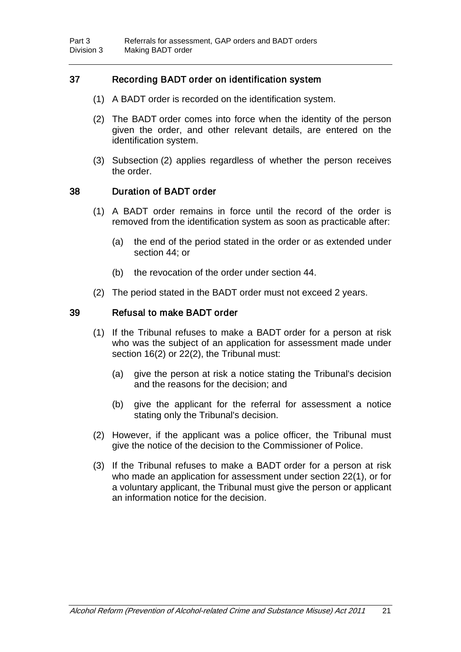## 37 Recording BADT order on identification system

- (1) A BADT order is recorded on the identification system.
- (2) The BADT order comes into force when the identity of the person given the order, and other relevant details, are entered on the identification system.
- (3) Subsection (2) applies regardless of whether the person receives the order.

### 38 Duration of BADT order

- (1) A BADT order remains in force until the record of the order is removed from the identification system as soon as practicable after:
	- (a) the end of the period stated in the order or as extended under section [44;](#page-27-0) or
	- (b) the revocation of the order under section [44.](#page-27-0)
- (2) The period stated in the BADT order must not exceed 2 years.

### 39 Refusal to make BADT order

- (1) If the Tribunal refuses to make a BADT order for a person at risk who was the subject of an application for assessment made under section [16\(](#page-15-0)2) or [22\(](#page-18-0)2), the Tribunal must:
	- (a) give the person at risk a notice stating the Tribunal's decision and the reasons for the decision; and
	- (b) give the applicant for the referral for assessment a notice stating only the Tribunal's decision.
- (2) However, if the applicant was a police officer, the Tribunal must give the notice of the decision to the Commissioner of Police.
- (3) If the Tribunal refuses to make a BADT order for a person at risk who made an application for assessment under section [22\(](#page-18-0)1), or for a voluntary applicant, the Tribunal must give the person or applicant an information notice for the decision.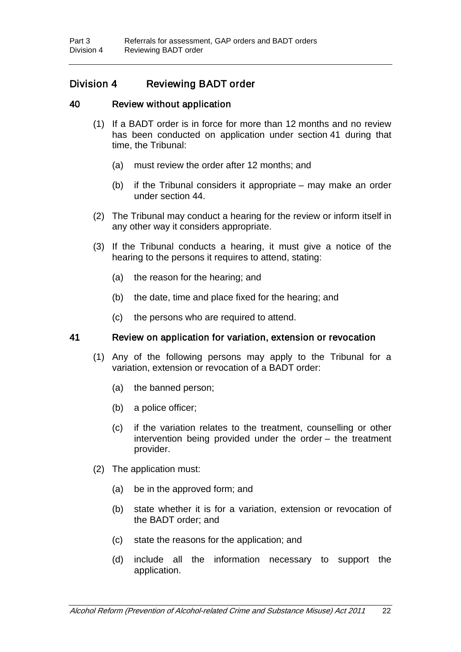# Division 4 Reviewing BADT order

### 40 Review without application

- <span id="page-26-1"></span>(1) If a BADT order is in force for more than 12 months and no review has been conducted on application under section [41](#page-26-0) during that time, the Tribunal:
	- (a) must review the order after 12 months; and
	- (b) if the Tribunal considers it appropriate may make an order under section [44.](#page-27-0)
- (2) The Tribunal may conduct a hearing for the review or inform itself in any other way it considers appropriate.
- (3) If the Tribunal conducts a hearing, it must give a notice of the hearing to the persons it requires to attend, stating:
	- (a) the reason for the hearing; and
	- (b) the date, time and place fixed for the hearing; and
	- (c) the persons who are required to attend.

### <span id="page-26-0"></span>41 Review on application for variation, extension or revocation

- (1) Any of the following persons may apply to the Tribunal for a variation, extension or revocation of a BADT order:
	- (a) the banned person;
	- (b) a police officer;
	- (c) if the variation relates to the treatment, counselling or other intervention being provided under the order – the treatment provider.
- (2) The application must:
	- (a) be in the approved form; and
	- (b) state whether it is for a variation, extension or revocation of the BADT order; and
	- (c) state the reasons for the application; and
	- (d) include all the information necessary to support the application.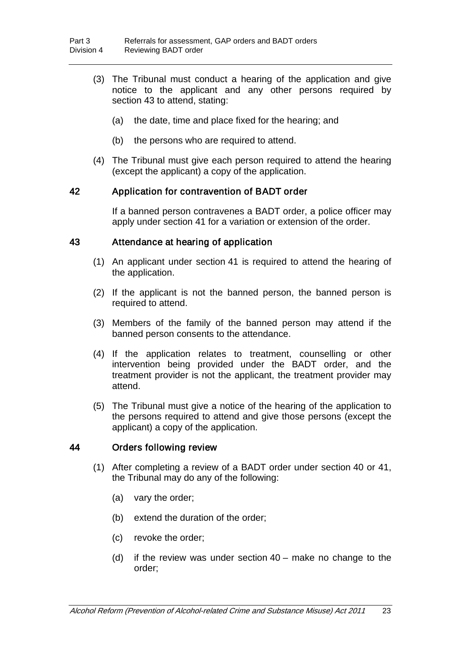- (3) The Tribunal must conduct a hearing of the application and give notice to the applicant and any other persons required by section [43](#page-27-1) to attend, stating:
	- (a) the date, time and place fixed for the hearing; and
	- (b) the persons who are required to attend.
- (4) The Tribunal must give each person required to attend the hearing (except the applicant) a copy of the application.

### 42 Application for contravention of BADT order

If a banned person contravenes a BADT order, a police officer may apply under section [41](#page-26-0) for a variation or extension of the order.

#### <span id="page-27-1"></span>43 Attendance at hearing of application

- (1) An applicant under section [41](#page-26-0) is required to attend the hearing of the application.
- (2) If the applicant is not the banned person, the banned person is required to attend.
- (3) Members of the family of the banned person may attend if the banned person consents to the attendance.
- (4) If the application relates to treatment, counselling or other intervention being provided under the BADT order, and the treatment provider is not the applicant, the treatment provider may attend.
- (5) The Tribunal must give a notice of the hearing of the application to the persons required to attend and give those persons (except the applicant) a copy of the application.

### <span id="page-27-0"></span>44 Orders following review

- (1) After completing a review of a BADT order under section [40](#page-26-1) or [41,](#page-26-0) the Tribunal may do any of the following:
	- (a) vary the order;
	- (b) extend the duration of the order;
	- (c) revoke the order;
	- (d) if the review was under section [40](#page-26-1) make no change to the order;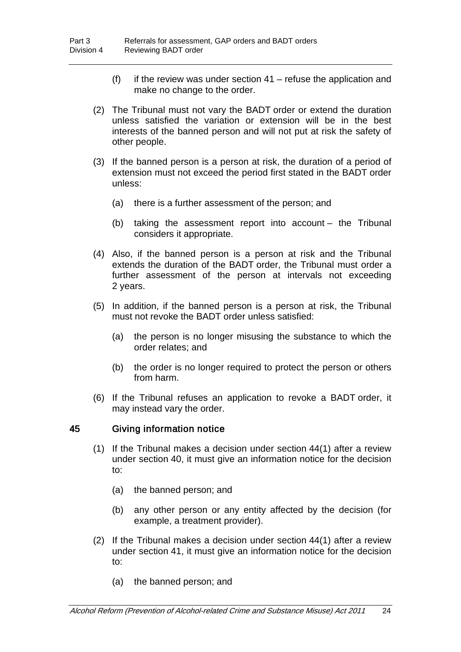- (f) if the review was under section  $41$  refuse the application and make no change to the order.
- (2) The Tribunal must not vary the BADT order or extend the duration unless satisfied the variation or extension will be in the best interests of the banned person and will not put at risk the safety of other people.
- (3) If the banned person is a person at risk, the duration of a period of extension must not exceed the period first stated in the BADT order unless:
	- (a) there is a further assessment of the person; and
	- (b) taking the assessment report into account the Tribunal considers it appropriate.
- (4) Also, if the banned person is a person at risk and the Tribunal extends the duration of the BADT order, the Tribunal must order a further assessment of the person at intervals not exceeding 2 years.
- (5) In addition, if the banned person is a person at risk, the Tribunal must not revoke the BADT order unless satisfied:
	- (a) the person is no longer misusing the substance to which the order relates; and
	- (b) the order is no longer required to protect the person or others from harm.
- (6) If the Tribunal refuses an application to revoke a BADT order, it may instead vary the order.

### 45 Giving information notice

- (1) If the Tribunal makes a decision under section [44\(](#page-27-0)1) after a review under section [40,](#page-26-1) it must give an information notice for the decision to:
	- (a) the banned person; and
	- (b) any other person or any entity affected by the decision (for example, a treatment provider).
- (2) If the Tribunal makes a decision under section [44\(](#page-27-0)1) after a review under section [41,](#page-26-0) it must give an information notice for the decision to:
	- (a) the banned person; and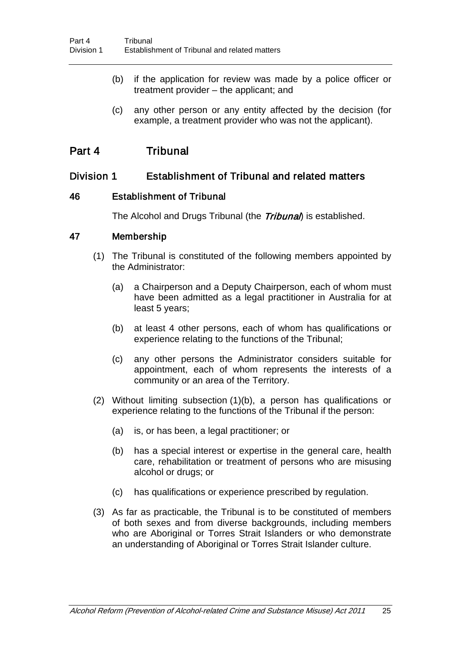- (b) if the application for review was made by a police officer or treatment provider – the applicant; and
- (c) any other person or any entity affected by the decision (for example, a treatment provider who was not the applicant).

# Part 4 Tribunal

# Division 1 Establishment of Tribunal and related matters

### 46 Establishment of Tribunal

<span id="page-29-0"></span>The Alcohol and Drugs Tribunal (the *Tribunal*) is established.

### 47 Membership

- (1) The Tribunal is constituted of the following members appointed by the Administrator:
	- (a) a Chairperson and a Deputy Chairperson, each of whom must have been admitted as a legal practitioner in Australia for at least 5 years;
	- (b) at least 4 other persons, each of whom has qualifications or experience relating to the functions of the Tribunal;
	- (c) any other persons the Administrator considers suitable for appointment, each of whom represents the interests of a community or an area of the Territory.
- (2) Without limiting subsection (1)(b), a person has qualifications or experience relating to the functions of the Tribunal if the person:
	- (a) is, or has been, a legal practitioner; or
	- (b) has a special interest or expertise in the general care, health care, rehabilitation or treatment of persons who are misusing alcohol or drugs; or
	- (c) has qualifications or experience prescribed by regulation.
- (3) As far as practicable, the Tribunal is to be constituted of members of both sexes and from diverse backgrounds, including members who are Aboriginal or Torres Strait Islanders or who demonstrate an understanding of Aboriginal or Torres Strait Islander culture.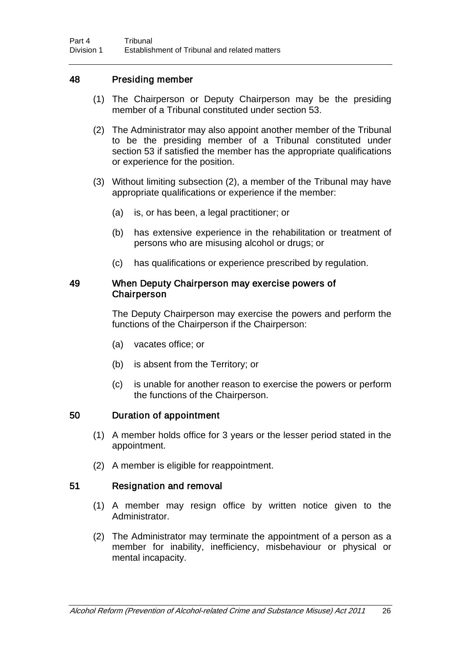### <span id="page-30-0"></span>48 Presiding member

- (1) The Chairperson or Deputy Chairperson may be the presiding member of a Tribunal constituted under section [53.](#page-31-0)
- (2) The Administrator may also appoint another member of the Tribunal to be the presiding member of a Tribunal constituted under section [53](#page-31-0) if satisfied the member has the appropriate qualifications or experience for the position.
- (3) Without limiting subsection (2), a member of the Tribunal may have appropriate qualifications or experience if the member:
	- (a) is, or has been, a legal practitioner; or
	- (b) has extensive experience in the rehabilitation or treatment of persons who are misusing alcohol or drugs; or
	- (c) has qualifications or experience prescribed by regulation.

#### 49 When Deputy Chairperson may exercise powers of **Chairperson**

The Deputy Chairperson may exercise the powers and perform the functions of the Chairperson if the Chairperson:

- (a) vacates office; or
- (b) is absent from the Territory; or
- (c) is unable for another reason to exercise the powers or perform the functions of the Chairperson.

### 50 Duration of appointment

- (1) A member holds office for 3 years or the lesser period stated in the appointment.
- (2) A member is eligible for reappointment.

### 51 Resignation and removal

- (1) A member may resign office by written notice given to the Administrator.
- (2) The Administrator may terminate the appointment of a person as a member for inability, inefficiency, misbehaviour or physical or mental incapacity.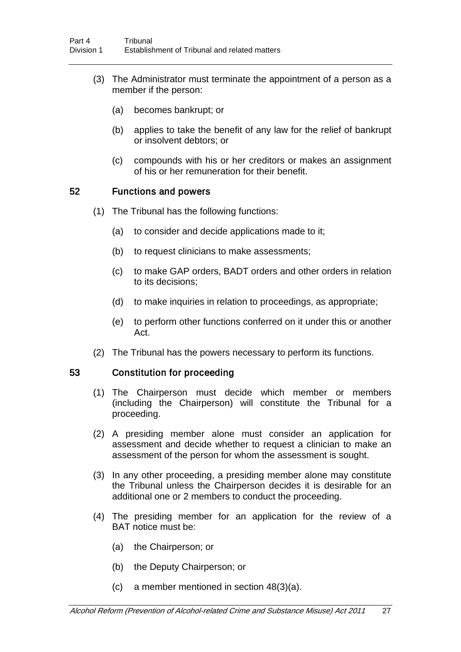- (3) The Administrator must terminate the appointment of a person as a member if the person:
	- (a) becomes bankrupt; or
	- (b) applies to take the benefit of any law for the relief of bankrupt or insolvent debtors; or
	- (c) compounds with his or her creditors or makes an assignment of his or her remuneration for their benefit.

#### 52 Functions and powers

- (1) The Tribunal has the following functions:
	- (a) to consider and decide applications made to it;
	- (b) to request clinicians to make assessments;
	- (c) to make GAP orders, BADT orders and other orders in relation to its decisions;
	- (d) to make inquiries in relation to proceedings, as appropriate;
	- (e) to perform other functions conferred on it under this or another Act.
- (2) The Tribunal has the powers necessary to perform its functions.

### <span id="page-31-0"></span>53 Constitution for proceeding

- (1) The Chairperson must decide which member or members (including the Chairperson) will constitute the Tribunal for a proceeding.
- (2) A presiding member alone must consider an application for assessment and decide whether to request a clinician to make an assessment of the person for whom the assessment is sought.
- (3) In any other proceeding, a presiding member alone may constitute the Tribunal unless the Chairperson decides it is desirable for an additional one or 2 members to conduct the proceeding.
- (4) The presiding member for an application for the review of a BAT notice must be:
	- (a) the Chairperson; or
	- (b) the Deputy Chairperson; or
	- (c) a member mentioned in section [48\(](#page-30-0)3)(a).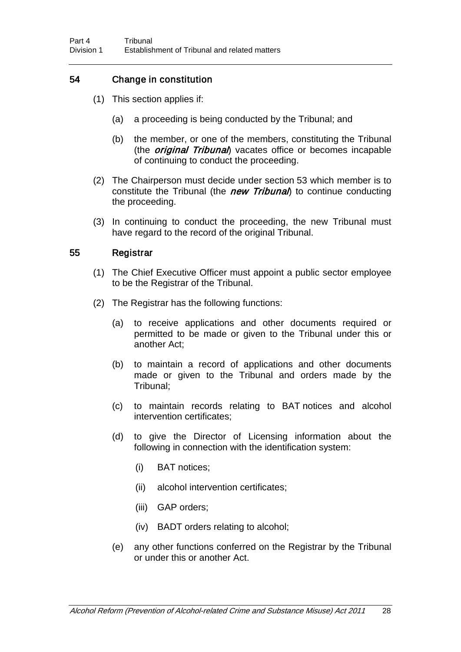## 54 Change in constitution

- (1) This section applies if:
	- (a) a proceeding is being conducted by the Tribunal; and
	- (b) the member, or one of the members, constituting the Tribunal (the *original Tribunal*) vacates office or becomes incapable of continuing to conduct the proceeding.
- (2) The Chairperson must decide under section [53](#page-31-0) which member is to constitute the Tribunal (the new Tribunal) to continue conducting the proceeding.
- (3) In continuing to conduct the proceeding, the new Tribunal must have regard to the record of the original Tribunal.

### 55 Registrar

- (1) The Chief Executive Officer must appoint a public sector employee to be the Registrar of the Tribunal.
- (2) The Registrar has the following functions:
	- (a) to receive applications and other documents required or permitted to be made or given to the Tribunal under this or another Act;
	- (b) to maintain a record of applications and other documents made or given to the Tribunal and orders made by the Tribunal;
	- (c) to maintain records relating to BAT notices and alcohol intervention certificates;
	- (d) to give the Director of Licensing information about the following in connection with the identification system:
		- (i) BAT notices;
		- (ii) alcohol intervention certificates;
		- (iii) GAP orders;
		- (iv) BADT orders relating to alcohol;
	- (e) any other functions conferred on the Registrar by the Tribunal or under this or another Act.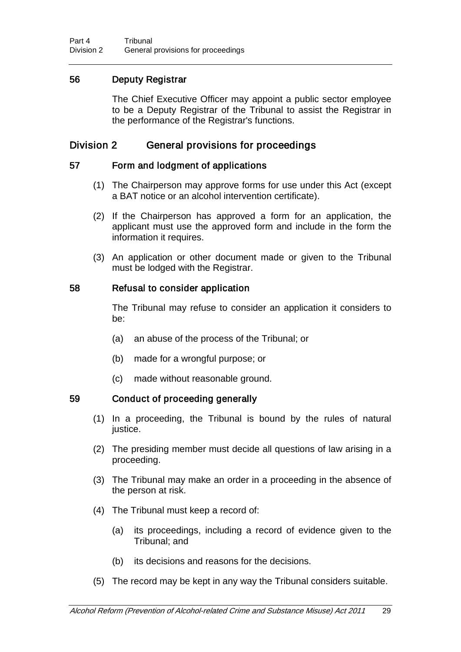# 56 Deputy Registrar

The Chief Executive Officer may appoint a public sector employee to be a Deputy Registrar of the Tribunal to assist the Registrar in the performance of the Registrar's functions.

# Division 2 General provisions for proceedings

### 57 Form and lodgment of applications

- <span id="page-33-0"></span>(1) The Chairperson may approve forms for use under this Act (except a BAT notice or an alcohol intervention certificate).
- (2) If the Chairperson has approved a form for an application, the applicant must use the approved form and include in the form the information it requires.
- (3) An application or other document made or given to the Tribunal must be lodged with the Registrar.

### 58 Refusal to consider application

The Tribunal may refuse to consider an application it considers to be:

- (a) an abuse of the process of the Tribunal; or
- (b) made for a wrongful purpose; or
- (c) made without reasonable ground.

## 59 Conduct of proceeding generally

- (1) In a proceeding, the Tribunal is bound by the rules of natural justice.
- (2) The presiding member must decide all questions of law arising in a proceeding.
- (3) The Tribunal may make an order in a proceeding in the absence of the person at risk.
- (4) The Tribunal must keep a record of:
	- (a) its proceedings, including a record of evidence given to the Tribunal; and
	- (b) its decisions and reasons for the decisions.
- (5) The record may be kept in any way the Tribunal considers suitable.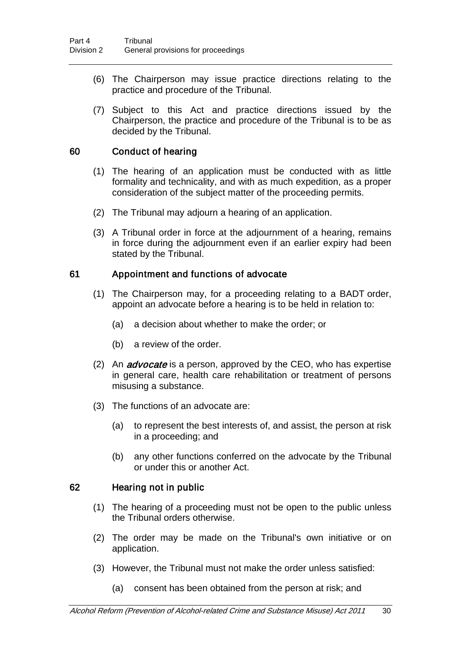- (6) The Chairperson may issue practice directions relating to the practice and procedure of the Tribunal.
- (7) Subject to this Act and practice directions issued by the Chairperson, the practice and procedure of the Tribunal is to be as decided by the Tribunal.

### 60 Conduct of hearing

- (1) The hearing of an application must be conducted with as little formality and technicality, and with as much expedition, as a proper consideration of the subject matter of the proceeding permits.
- (2) The Tribunal may adjourn a hearing of an application.
- (3) A Tribunal order in force at the adjournment of a hearing, remains in force during the adjournment even if an earlier expiry had been stated by the Tribunal.

### <span id="page-34-0"></span>61 Appointment and functions of advocate

- (1) The Chairperson may, for a proceeding relating to a BADT order, appoint an advocate before a hearing is to be held in relation to:
	- (a) a decision about whether to make the order; or
	- (b) a review of the order.
- (2) An *advocate* is a person, approved by the CEO, who has expertise in general care, health care rehabilitation or treatment of persons misusing a substance.
- (3) The functions of an advocate are:
	- (a) to represent the best interests of, and assist, the person at risk in a proceeding; and
	- (b) any other functions conferred on the advocate by the Tribunal or under this or another Act.

### 62 Hearing not in public

- (1) The hearing of a proceeding must not be open to the public unless the Tribunal orders otherwise.
- (2) The order may be made on the Tribunal's own initiative or on application.
- (3) However, the Tribunal must not make the order unless satisfied:
	- (a) consent has been obtained from the person at risk; and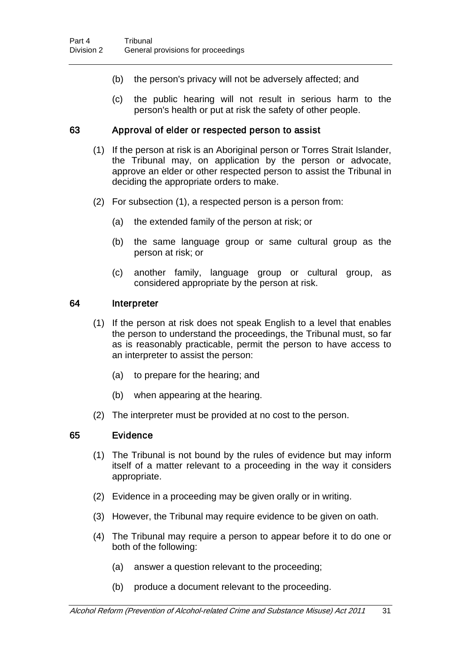- (b) the person's privacy will not be adversely affected; and
- (c) the public hearing will not result in serious harm to the person's health or put at risk the safety of other people.

### 63 Approval of elder or respected person to assist

- (1) If the person at risk is an Aboriginal person or Torres Strait Islander, the Tribunal may, on application by the person or advocate, approve an elder or other respected person to assist the Tribunal in deciding the appropriate orders to make.
- (2) For subsection (1), a respected person is a person from:
	- (a) the extended family of the person at risk; or
	- (b) the same language group or same cultural group as the person at risk; or
	- (c) another family, language group or cultural group, as considered appropriate by the person at risk.

#### 64 Interpreter

- (1) If the person at risk does not speak English to a level that enables the person to understand the proceedings, the Tribunal must, so far as is reasonably practicable, permit the person to have access to an interpreter to assist the person:
	- (a) to prepare for the hearing; and
	- (b) when appearing at the hearing.
- (2) The interpreter must be provided at no cost to the person.

#### 65 Evidence

- (1) The Tribunal is not bound by the rules of evidence but may inform itself of a matter relevant to a proceeding in the way it considers appropriate.
- (2) Evidence in a proceeding may be given orally or in writing.
- (3) However, the Tribunal may require evidence to be given on oath.
- (4) The Tribunal may require a person to appear before it to do one or both of the following:
	- (a) answer a question relevant to the proceeding;
	- (b) produce a document relevant to the proceeding.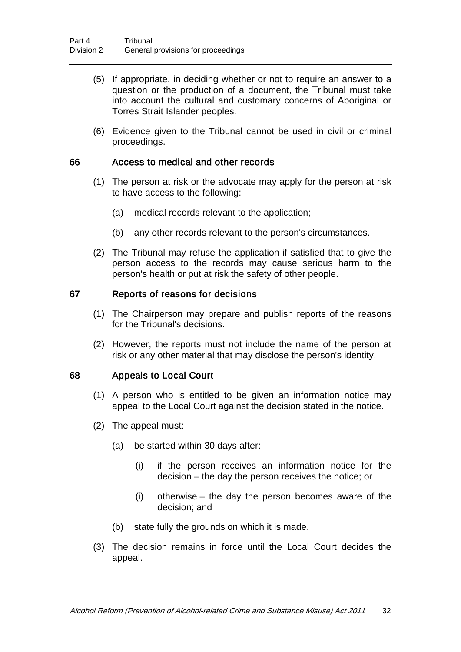- (5) If appropriate, in deciding whether or not to require an answer to a question or the production of a document, the Tribunal must take into account the cultural and customary concerns of Aboriginal or Torres Strait Islander peoples.
- (6) Evidence given to the Tribunal cannot be used in civil or criminal proceedings.

### 66 Access to medical and other records

- (1) The person at risk or the advocate may apply for the person at risk to have access to the following:
	- (a) medical records relevant to the application;
	- (b) any other records relevant to the person's circumstances.
- (2) The Tribunal may refuse the application if satisfied that to give the person access to the records may cause serious harm to the person's health or put at risk the safety of other people.

#### 67 Reports of reasons for decisions

- (1) The Chairperson may prepare and publish reports of the reasons for the Tribunal's decisions.
- (2) However, the reports must not include the name of the person at risk or any other material that may disclose the person's identity.

#### <span id="page-36-0"></span>68 Appeals to Local Court

- (1) A person who is entitled to be given an information notice may appeal to the Local Court against the decision stated in the notice.
- (2) The appeal must:
	- (a) be started within 30 days after:
		- (i) if the person receives an information notice for the decision – the day the person receives the notice; or
		- (i) otherwise the day the person becomes aware of the decision; and
	- (b) state fully the grounds on which it is made.
- (3) The decision remains in force until the Local Court decides the appeal.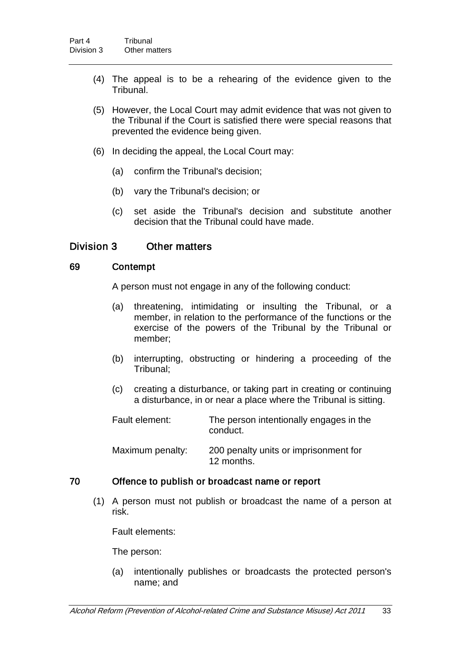- (4) The appeal is to be a rehearing of the evidence given to the Tribunal.
- (5) However, the Local Court may admit evidence that was not given to the Tribunal if the Court is satisfied there were special reasons that prevented the evidence being given.
- (6) In deciding the appeal, the Local Court may:
	- (a) confirm the Tribunal's decision;
	- (b) vary the Tribunal's decision; or
	- (c) set aside the Tribunal's decision and substitute another decision that the Tribunal could have made.

### Division 3 Other matters

### 69 Contempt

A person must not engage in any of the following conduct:

- (a) threatening, intimidating or insulting the Tribunal, or a member, in relation to the performance of the functions or the exercise of the powers of the Tribunal by the Tribunal or member;
- (b) interrupting, obstructing or hindering a proceeding of the Tribunal;
- (c) creating a disturbance, or taking part in creating or continuing a disturbance, in or near a place where the Tribunal is sitting.
- Fault element: The person intentionally engages in the conduct.

Maximum penalty: 200 penalty units or imprisonment for 12 months.

### 70 Offence to publish or broadcast name or report

(1) A person must not publish or broadcast the name of a person at risk.

Fault elements:

The person:

(a) intentionally publishes or broadcasts the protected person's name; and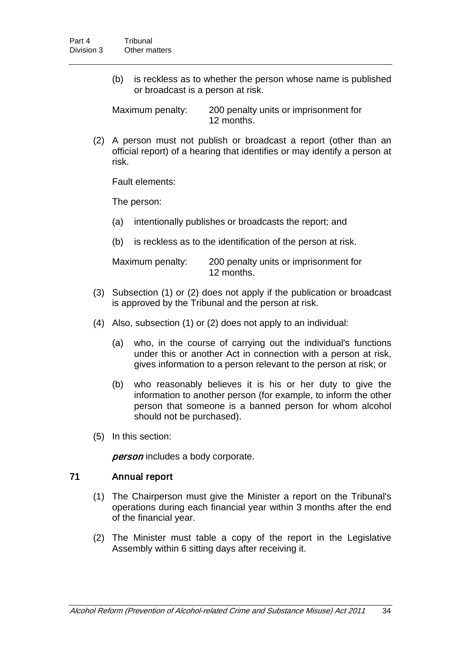(b) is reckless as to whether the person whose name is published or broadcast is a person at risk.

Maximum penalty: 200 penalty units or imprisonment for 12 months.

(2) A person must not publish or broadcast a report (other than an official report) of a hearing that identifies or may identify a person at risk.

Fault elements:

The person:

- (a) intentionally publishes or broadcasts the report; and
- (b) is reckless as to the identification of the person at risk.

| Maximum penalty: | 200 penalty units or imprisonment for |
|------------------|---------------------------------------|
|                  | 12 months.                            |

- (3) Subsection (1) or (2) does not apply if the publication or broadcast is approved by the Tribunal and the person at risk.
- (4) Also, subsection (1) or (2) does not apply to an individual:
	- (a) who, in the course of carrying out the individual's functions under this or another Act in connection with a person at risk, gives information to a person relevant to the person at risk; or
	- (b) who reasonably believes it is his or her duty to give the information to another person (for example, to inform the other person that someone is a banned person for whom alcohol should not be purchased).
- (5) In this section:

person includes a body corporate.

## 71 Annual report

- (1) The Chairperson must give the Minister a report on the Tribunal's operations during each financial year within 3 months after the end of the financial year.
- (2) The Minister must table a copy of the report in the Legislative Assembly within 6 sitting days after receiving it.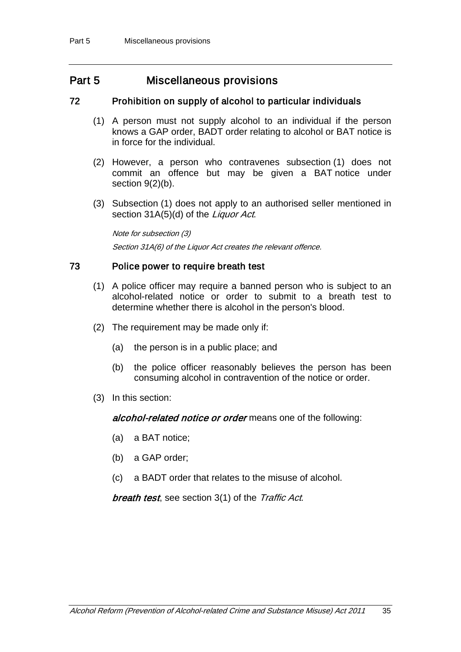# Part 5 Miscellaneous provisions

### 72 Prohibition on supply of alcohol to particular individuals

- <span id="page-39-0"></span>(1) A person must not supply alcohol to an individual if the person knows a GAP order, BADT order relating to alcohol or BAT notice is in force for the individual.
- (2) However, a person who contravenes subsection (1) does not commit an offence but may be given a BAT notice under section [9\(](#page-11-0)2)(b).
- (3) Subsection (1) does not apply to an authorised seller mentioned in section 31A(5)(d) of the Liquor Act.

Note for subsection (3) Section 31A(6) of the Liquor Act creates the relevant offence.

### 73 Police power to require breath test

- (1) A police officer may require a banned person who is subject to an alcohol-related notice or order to submit to a breath test to determine whether there is alcohol in the person's blood.
- (2) The requirement may be made only if:
	- (a) the person is in a public place; and
	- (b) the police officer reasonably believes the person has been consuming alcohol in contravention of the notice or order.
- (3) In this section:

alcohol-related notice or order means one of the following:

- (a) a BAT notice;
- (b) a GAP order;
- (c) a BADT order that relates to the misuse of alcohol.

**breath test, see section 3(1) of the Traffic Act.**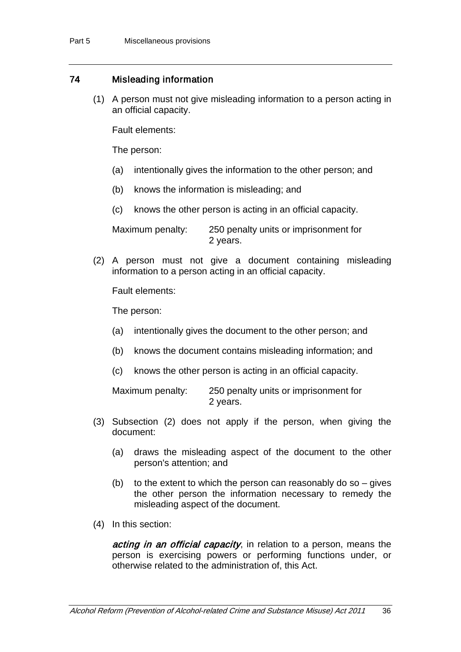### 74 Misleading information

(1) A person must not give misleading information to a person acting in an official capacity.

Fault elements:

The person:

- (a) intentionally gives the information to the other person; and
- (b) knows the information is misleading; and
- (c) knows the other person is acting in an official capacity.

Maximum penalty: 250 penalty units or imprisonment for 2 years.

(2) A person must not give a document containing misleading information to a person acting in an official capacity.

Fault elements:

The person:

- (a) intentionally gives the document to the other person; and
- (b) knows the document contains misleading information; and
- (c) knows the other person is acting in an official capacity.

Maximum penalty: 250 penalty units or imprisonment for 2 years.

- (3) Subsection (2) does not apply if the person, when giving the document:
	- (a) draws the misleading aspect of the document to the other person's attention; and
	- (b) to the extent to which the person can reasonably do so  $-$  gives the other person the information necessary to remedy the misleading aspect of the document.
- (4) In this section:

acting in an official capacity, in relation to a person, means the person is exercising powers or performing functions under, or otherwise related to the administration of, this Act.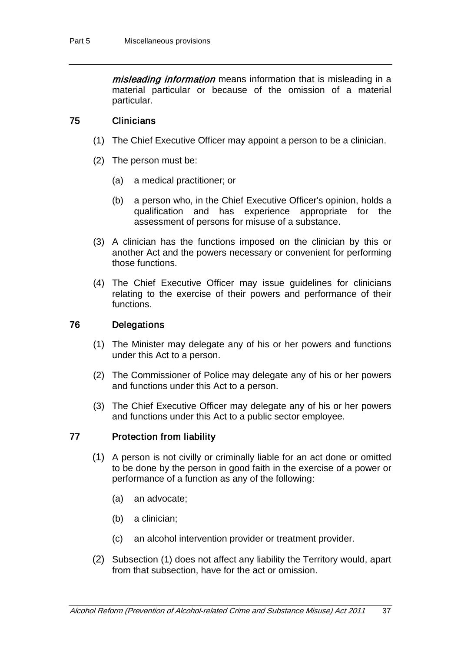misleading information means information that is misleading in a material particular or because of the omission of a material particular.

### <span id="page-41-0"></span>75 Clinicians

- (1) The Chief Executive Officer may appoint a person to be a clinician.
- (2) The person must be:
	- (a) a medical practitioner; or
	- (b) a person who, in the Chief Executive Officer's opinion, holds a qualification and has experience appropriate for the assessment of persons for misuse of a substance.
- (3) A clinician has the functions imposed on the clinician by this or another Act and the powers necessary or convenient for performing those functions.
- (4) The Chief Executive Officer may issue guidelines for clinicians relating to the exercise of their powers and performance of their functions.

### 76 Delegations

- (1) The Minister may delegate any of his or her powers and functions under this Act to a person.
- (2) The Commissioner of Police may delegate any of his or her powers and functions under this Act to a person.
- (3) The Chief Executive Officer may delegate any of his or her powers and functions under this Act to a public sector employee.

### 77 Protection from liability

- (1) A person is not civilly or criminally liable for an act done or omitted to be done by the person in good faith in the exercise of a power or performance of a function as any of the following:
	- (a) an advocate;
	- (b) a clinician;
	- (c) an alcohol intervention provider or treatment provider.
- (2) Subsection (1) does not affect any liability the Territory would, apart from that subsection, have for the act or omission.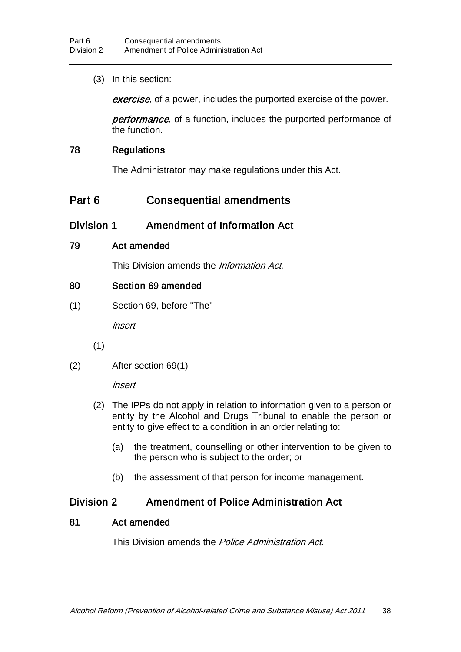(3) In this section:

exercise, of a power, includes the purported exercise of the power.

**performance**, of a function, includes the purported performance of the function.

### 78 Regulations

The Administrator may make regulations under this Act.

# Part 6 Consequential amendments

# Division 1 Amendment of Information Act

### 79 Act amended

This Division amends the *Information Act*.

### 80 Section 69 amended

(1) Section 69, before "The"

insert

- (1)
- (2) After section 69(1)

insert

- (2) The IPPs do not apply in relation to information given to a person or entity by the Alcohol and Drugs Tribunal to enable the person or entity to give effect to a condition in an order relating to:
	- (a) the treatment, counselling or other intervention to be given to the person who is subject to the order; or
	- (b) the assessment of that person for income management.

# Division 2 Amendment of Police Administration Act

### 81 Act amended

This Division amends the *Police Administration Act.*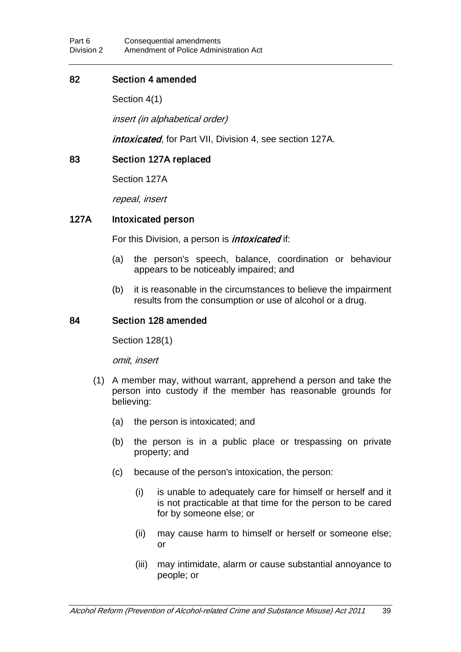### 82 Section 4 amended

Section 4(1)

insert (in alphabetical order)

intoxicated, for Part VII, Division 4, see section 127A.

### 83 Section 127A replaced

Section 127A

repeal, insert

### 127A Intoxicated person

For this Division, a person is *intoxicated* if:

- (a) the person's speech, balance, coordination or behaviour appears to be noticeably impaired; and
- (b) it is reasonable in the circumstances to believe the impairment results from the consumption or use of alcohol or a drug.

### 84 Section 128 amended

Section 128(1)

omit, insert

- (1) A member may, without warrant, apprehend a person and take the person into custody if the member has reasonable grounds for believing:
	- (a) the person is intoxicated; and
	- (b) the person is in a public place or trespassing on private property; and
	- (c) because of the person's intoxication, the person:
		- (i) is unable to adequately care for himself or herself and it is not practicable at that time for the person to be cared for by someone else; or
		- (ii) may cause harm to himself or herself or someone else; or
		- (iii) may intimidate, alarm or cause substantial annoyance to people; or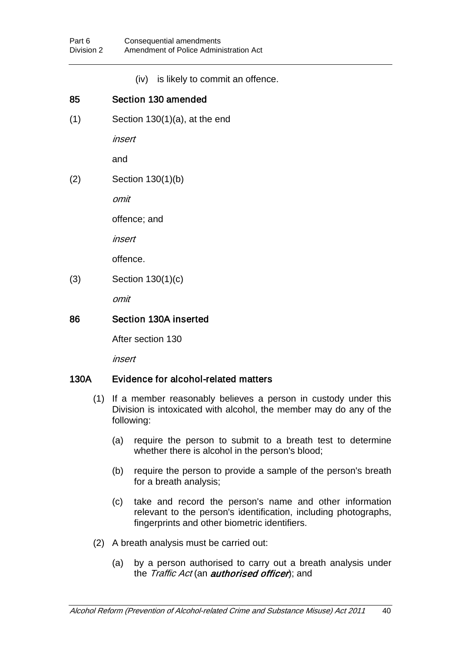(iv) is likely to commit an offence.

# 85 Section 130 amended

 $(1)$  Section 130 $(1)(a)$ , at the end

insert

and

(2) Section 130(1)(b)

omit

offence; and

insert

offence.

(3) Section 130(1)(c)

omit

## 86 Section 130A inserted

After section 130

insert

## 130A Evidence for alcohol-related matters

- (1) If a member reasonably believes a person in custody under this Division is intoxicated with alcohol, the member may do any of the following:
	- (a) require the person to submit to a breath test to determine whether there is alcohol in the person's blood;
	- (b) require the person to provide a sample of the person's breath for a breath analysis;
	- (c) take and record the person's name and other information relevant to the person's identification, including photographs, fingerprints and other biometric identifiers.
- (2) A breath analysis must be carried out:
	- (a) by a person authorised to carry out a breath analysis under the Traffic Act (an **authorised officer)**; and